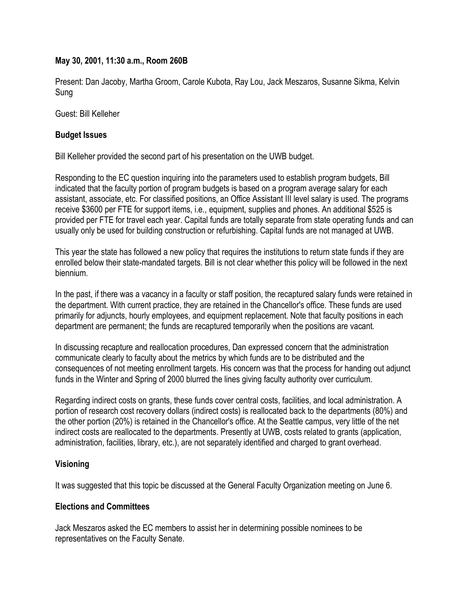#### **May 30, 2001, 11:30 a.m., Room 260B**

Present: Dan Jacoby, Martha Groom, Carole Kubota, Ray Lou, Jack Meszaros, Susanne Sikma, Kelvin Sung

Guest: Bill Kelleher

#### **Budget Issues**

Bill Kelleher provided the second part of his presentation on the UWB budget.

Responding to the EC question inquiring into the parameters used to establish program budgets, Bill indicated that the faculty portion of program budgets is based on a program average salary for each assistant, associate, etc. For classified positions, an Office Assistant III level salary is used. The programs receive \$3600 per FTE for support items, i.e., equipment, supplies and phones. An additional \$525 is provided per FTE for travel each year. Capital funds are totally separate from state operating funds and can usually only be used for building construction or refurbishing. Capital funds are not managed at UWB.

This year the state has followed a new policy that requires the institutions to return state funds if they are enrolled below their state-mandated targets. Bill is not clear whether this policy will be followed in the next biennium.

In the past, if there was a vacancy in a faculty or staff position, the recaptured salary funds were retained in the department. With current practice, they are retained in the Chancellor's office. These funds are used primarily for adjuncts, hourly employees, and equipment replacement. Note that faculty positions in each department are permanent; the funds are recaptured temporarily when the positions are vacant.

In discussing recapture and reallocation procedures, Dan expressed concern that the administration communicate clearly to faculty about the metrics by which funds are to be distributed and the consequences of not meeting enrollment targets. His concern was that the process for handing out adjunct funds in the Winter and Spring of 2000 blurred the lines giving faculty authority over curriculum.

Regarding indirect costs on grants, these funds cover central costs, facilities, and local administration. A portion of research cost recovery dollars (indirect costs) is reallocated back to the departments (80%) and the other portion (20%) is retained in the Chancellor's office. At the Seattle campus, very little of the net indirect costs are reallocated to the departments. Presently at UWB, costs related to grants (application, administration, facilities, library, etc.), are not separately identified and charged to grant overhead.

## **Visioning**

It was suggested that this topic be discussed at the General Faculty Organization meeting on June 6.

## **Elections and Committees**

Jack Meszaros asked the EC members to assist her in determining possible nominees to be representatives on the Faculty Senate.